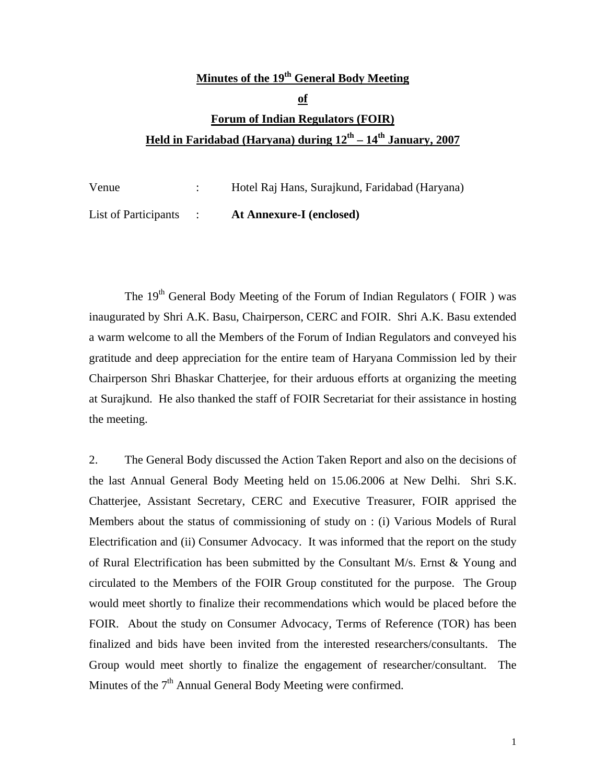# **Minutes of the 19th General Body Meeting of Forum of Indian Regulators (FOIR) Held in Faridabad (Haryana) during 12th – 14th January, 2007**

| Venue                | Hotel Raj Hans, Surajkund, Faridabad (Haryana) |
|----------------------|------------------------------------------------|
| List of Participants | <b>At Annexure-I (enclosed)</b>                |

The  $19<sup>th</sup>$  General Body Meeting of the Forum of Indian Regulators (FOIR) was inaugurated by Shri A.K. Basu, Chairperson, CERC and FOIR. Shri A.K. Basu extended a warm welcome to all the Members of the Forum of Indian Regulators and conveyed his gratitude and deep appreciation for the entire team of Haryana Commission led by their Chairperson Shri Bhaskar Chatterjee, for their arduous efforts at organizing the meeting at Surajkund. He also thanked the staff of FOIR Secretariat for their assistance in hosting the meeting.

2. The General Body discussed the Action Taken Report and also on the decisions of the last Annual General Body Meeting held on 15.06.2006 at New Delhi. Shri S.K. Chatterjee, Assistant Secretary, CERC and Executive Treasurer, FOIR apprised the Members about the status of commissioning of study on : (i) Various Models of Rural Electrification and (ii) Consumer Advocacy. It was informed that the report on the study of Rural Electrification has been submitted by the Consultant M/s. Ernst & Young and circulated to the Members of the FOIR Group constituted for the purpose. The Group would meet shortly to finalize their recommendations which would be placed before the FOIR. About the study on Consumer Advocacy, Terms of Reference (TOR) has been finalized and bids have been invited from the interested researchers/consultants. The Group would meet shortly to finalize the engagement of researcher/consultant. The Minutes of the  $7<sup>th</sup>$  Annual General Body Meeting were confirmed.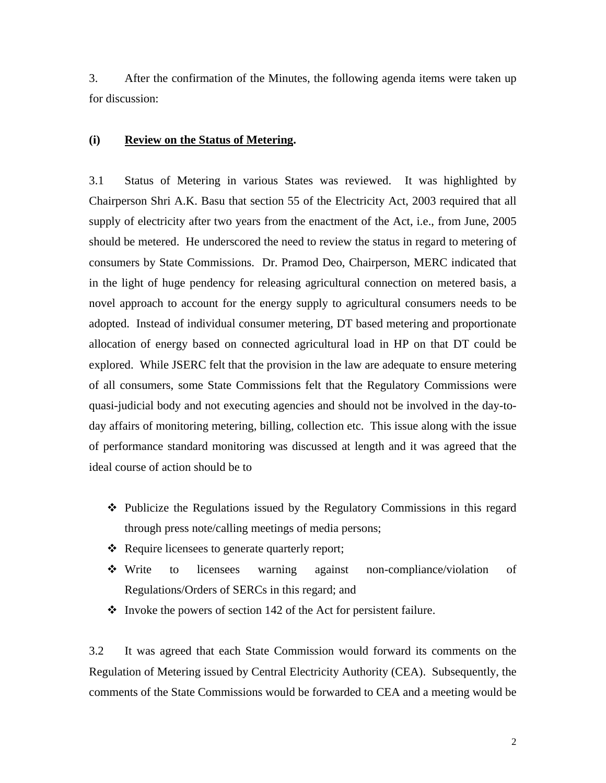3. After the confirmation of the Minutes, the following agenda items were taken up for discussion:

#### **(i) Review on the Status of Metering.**

3.1 Status of Metering in various States was reviewed. It was highlighted by Chairperson Shri A.K. Basu that section 55 of the Electricity Act, 2003 required that all supply of electricity after two years from the enactment of the Act, i.e., from June, 2005 should be metered. He underscored the need to review the status in regard to metering of consumers by State Commissions. Dr. Pramod Deo, Chairperson, MERC indicated that in the light of huge pendency for releasing agricultural connection on metered basis, a novel approach to account for the energy supply to agricultural consumers needs to be adopted. Instead of individual consumer metering, DT based metering and proportionate allocation of energy based on connected agricultural load in HP on that DT could be explored. While JSERC felt that the provision in the law are adequate to ensure metering of all consumers, some State Commissions felt that the Regulatory Commissions were quasi-judicial body and not executing agencies and should not be involved in the day-today affairs of monitoring metering, billing, collection etc. This issue along with the issue of performance standard monitoring was discussed at length and it was agreed that the ideal course of action should be to

- Publicize the Regulations issued by the Regulatory Commissions in this regard through press note/calling meetings of media persons;
- ❖ Require licensees to generate quarterly report;
- Write to licensees warning against non-compliance/violation of Regulations/Orders of SERCs in this regard; and
- $\cdot$  Invoke the powers of section 142 of the Act for persistent failure.

3.2 It was agreed that each State Commission would forward its comments on the Regulation of Metering issued by Central Electricity Authority (CEA). Subsequently, the comments of the State Commissions would be forwarded to CEA and a meeting would be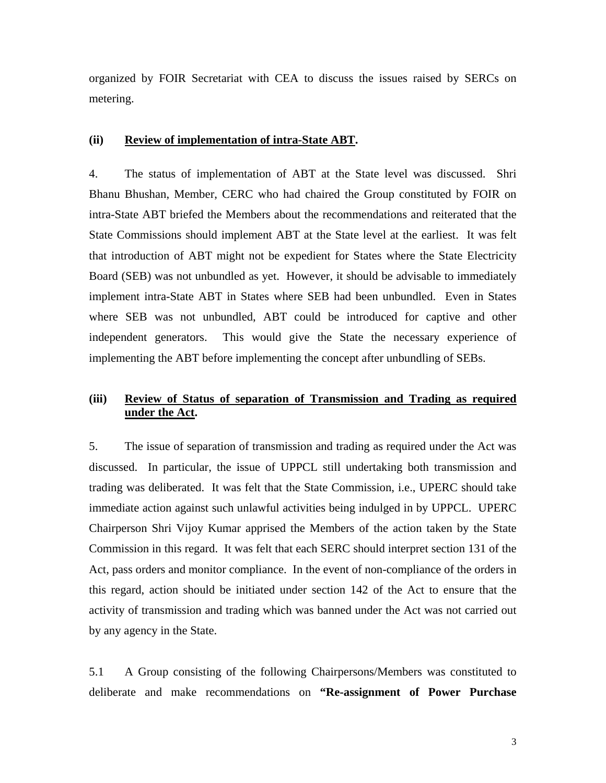organized by FOIR Secretariat with CEA to discuss the issues raised by SERCs on metering.

#### **(ii) Review of implementation of intra-State ABT.**

4. The status of implementation of ABT at the State level was discussed. Shri Bhanu Bhushan, Member, CERC who had chaired the Group constituted by FOIR on intra-State ABT briefed the Members about the recommendations and reiterated that the State Commissions should implement ABT at the State level at the earliest. It was felt that introduction of ABT might not be expedient for States where the State Electricity Board (SEB) was not unbundled as yet. However, it should be advisable to immediately implement intra-State ABT in States where SEB had been unbundled. Even in States where SEB was not unbundled, ABT could be introduced for captive and other independent generators. This would give the State the necessary experience of implementing the ABT before implementing the concept after unbundling of SEBs.

### **(iii) Review of Status of separation of Transmission and Trading as required under the Act.**

5. The issue of separation of transmission and trading as required under the Act was discussed. In particular, the issue of UPPCL still undertaking both transmission and trading was deliberated. It was felt that the State Commission, i.e., UPERC should take immediate action against such unlawful activities being indulged in by UPPCL. UPERC Chairperson Shri Vijoy Kumar apprised the Members of the action taken by the State Commission in this regard. It was felt that each SERC should interpret section 131 of the Act, pass orders and monitor compliance. In the event of non-compliance of the orders in this regard, action should be initiated under section 142 of the Act to ensure that the activity of transmission and trading which was banned under the Act was not carried out by any agency in the State.

5.1 A Group consisting of the following Chairpersons/Members was constituted to deliberate and make recommendations on **"Re-assignment of Power Purchase**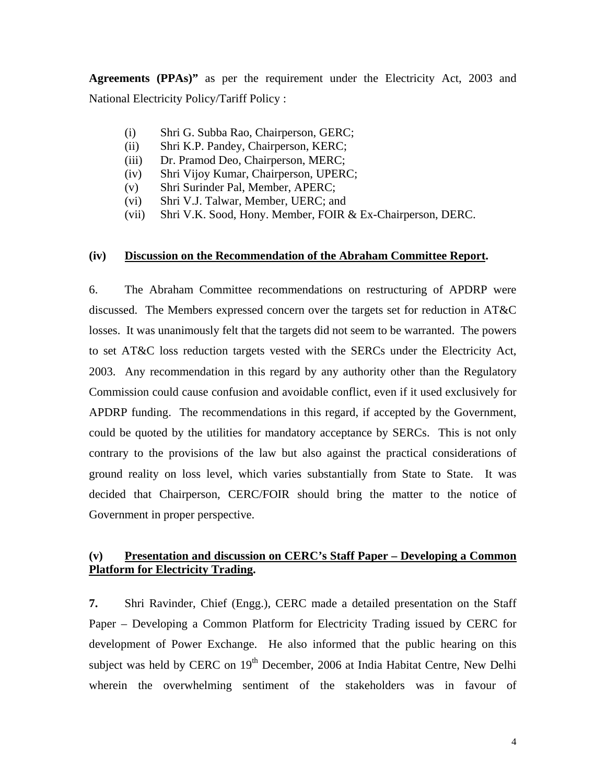**Agreements (PPAs)"** as per the requirement under the Electricity Act, 2003 and National Electricity Policy/Tariff Policy :

- (i) Shri G. Subba Rao, Chairperson, GERC;
- (ii) Shri K.P. Pandey, Chairperson, KERC;
- (iii) Dr. Pramod Deo, Chairperson, MERC;
- (iv) Shri Vijoy Kumar, Chairperson, UPERC;
- (v) Shri Surinder Pal, Member, APERC;
- (vi) Shri V.J. Talwar, Member, UERC; and
- (vii) Shri V.K. Sood, Hony. Member, FOIR & Ex-Chairperson, DERC.

#### **(iv) Discussion on the Recommendation of the Abraham Committee Report.**

6. The Abraham Committee recommendations on restructuring of APDRP were discussed. The Members expressed concern over the targets set for reduction in AT&C losses. It was unanimously felt that the targets did not seem to be warranted. The powers to set AT&C loss reduction targets vested with the SERCs under the Electricity Act, 2003. Any recommendation in this regard by any authority other than the Regulatory Commission could cause confusion and avoidable conflict, even if it used exclusively for APDRP funding. The recommendations in this regard, if accepted by the Government, could be quoted by the utilities for mandatory acceptance by SERCs. This is not only contrary to the provisions of the law but also against the practical considerations of ground reality on loss level, which varies substantially from State to State. It was decided that Chairperson, CERC/FOIR should bring the matter to the notice of Government in proper perspective.

#### **(v) Presentation and discussion on CERC's Staff Paper – Developing a Common Platform for Electricity Trading.**

**7.** Shri Ravinder, Chief (Engg.), CERC made a detailed presentation on the Staff Paper – Developing a Common Platform for Electricity Trading issued by CERC for development of Power Exchange. He also informed that the public hearing on this subject was held by CERC on  $19<sup>th</sup>$  December, 2006 at India Habitat Centre, New Delhi wherein the overwhelming sentiment of the stakeholders was in favour of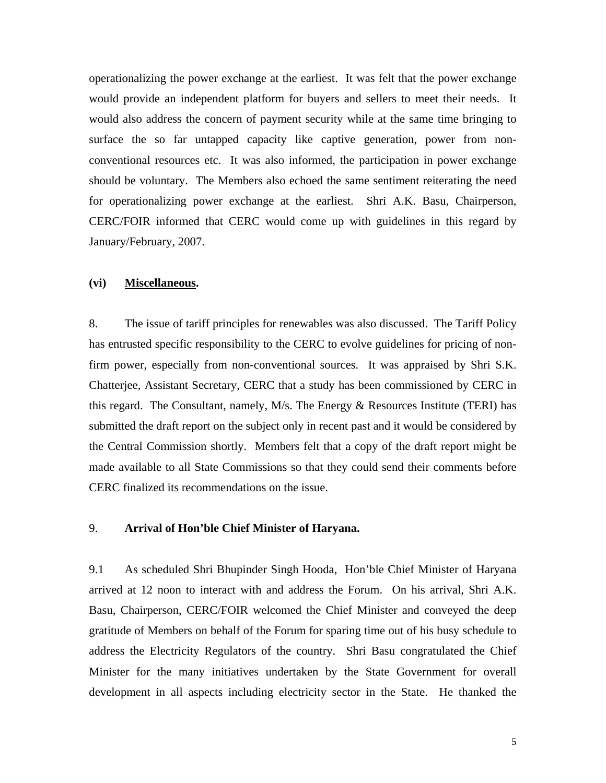operationalizing the power exchange at the earliest. It was felt that the power exchange would provide an independent platform for buyers and sellers to meet their needs. It would also address the concern of payment security while at the same time bringing to surface the so far untapped capacity like captive generation, power from nonconventional resources etc. It was also informed, the participation in power exchange should be voluntary. The Members also echoed the same sentiment reiterating the need for operationalizing power exchange at the earliest. Shri A.K. Basu, Chairperson, CERC/FOIR informed that CERC would come up with guidelines in this regard by January/February, 2007.

#### **(vi) Miscellaneous.**

8. The issue of tariff principles for renewables was also discussed. The Tariff Policy has entrusted specific responsibility to the CERC to evolve guidelines for pricing of nonfirm power, especially from non-conventional sources. It was appraised by Shri S.K. Chatterjee, Assistant Secretary, CERC that a study has been commissioned by CERC in this regard. The Consultant, namely, M/s. The Energy & Resources Institute (TERI) has submitted the draft report on the subject only in recent past and it would be considered by the Central Commission shortly. Members felt that a copy of the draft report might be made available to all State Commissions so that they could send their comments before CERC finalized its recommendations on the issue.

#### 9. **Arrival of Hon'ble Chief Minister of Haryana.**

9.1 As scheduled Shri Bhupinder Singh Hooda, Hon'ble Chief Minister of Haryana arrived at 12 noon to interact with and address the Forum. On his arrival, Shri A.K. Basu, Chairperson, CERC/FOIR welcomed the Chief Minister and conveyed the deep gratitude of Members on behalf of the Forum for sparing time out of his busy schedule to address the Electricity Regulators of the country. Shri Basu congratulated the Chief Minister for the many initiatives undertaken by the State Government for overall development in all aspects including electricity sector in the State. He thanked the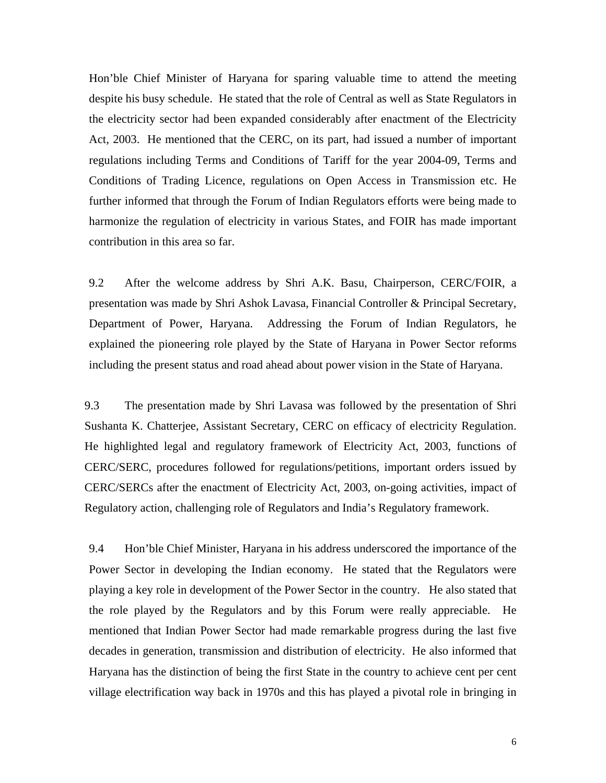Hon'ble Chief Minister of Haryana for sparing valuable time to attend the meeting despite his busy schedule. He stated that the role of Central as well as State Regulators in the electricity sector had been expanded considerably after enactment of the Electricity Act, 2003. He mentioned that the CERC, on its part, had issued a number of important regulations including Terms and Conditions of Tariff for the year 2004-09, Terms and Conditions of Trading Licence, regulations on Open Access in Transmission etc. He further informed that through the Forum of Indian Regulators efforts were being made to harmonize the regulation of electricity in various States, and FOIR has made important contribution in this area so far.

9.2 After the welcome address by Shri A.K. Basu, Chairperson, CERC/FOIR, a presentation was made by Shri Ashok Lavasa, Financial Controller & Principal Secretary, Department of Power, Haryana. Addressing the Forum of Indian Regulators, he explained the pioneering role played by the State of Haryana in Power Sector reforms including the present status and road ahead about power vision in the State of Haryana.

9.3 The presentation made by Shri Lavasa was followed by the presentation of Shri Sushanta K. Chatterjee, Assistant Secretary, CERC on efficacy of electricity Regulation. He highlighted legal and regulatory framework of Electricity Act, 2003, functions of CERC/SERC, procedures followed for regulations/petitions, important orders issued by CERC/SERCs after the enactment of Electricity Act, 2003, on-going activities, impact of Regulatory action, challenging role of Regulators and India's Regulatory framework.

9.4 Hon'ble Chief Minister, Haryana in his address underscored the importance of the Power Sector in developing the Indian economy. He stated that the Regulators were playing a key role in development of the Power Sector in the country. He also stated that the role played by the Regulators and by this Forum were really appreciable. He mentioned that Indian Power Sector had made remarkable progress during the last five decades in generation, transmission and distribution of electricity. He also informed that Haryana has the distinction of being the first State in the country to achieve cent per cent village electrification way back in 1970s and this has played a pivotal role in bringing in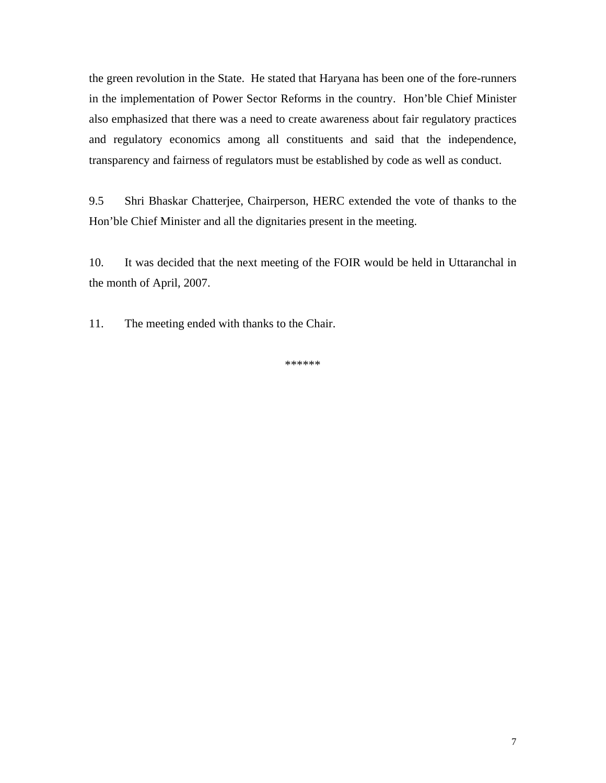the green revolution in the State. He stated that Haryana has been one of the fore-runners in the implementation of Power Sector Reforms in the country. Hon'ble Chief Minister also emphasized that there was a need to create awareness about fair regulatory practices and regulatory economics among all constituents and said that the independence, transparency and fairness of regulators must be established by code as well as conduct.

9.5 Shri Bhaskar Chatterjee, Chairperson, HERC extended the vote of thanks to the Hon'ble Chief Minister and all the dignitaries present in the meeting.

10. It was decided that the next meeting of the FOIR would be held in Uttaranchal in the month of April, 2007.

11. The meeting ended with thanks to the Chair.

\*\*\*\*\*\*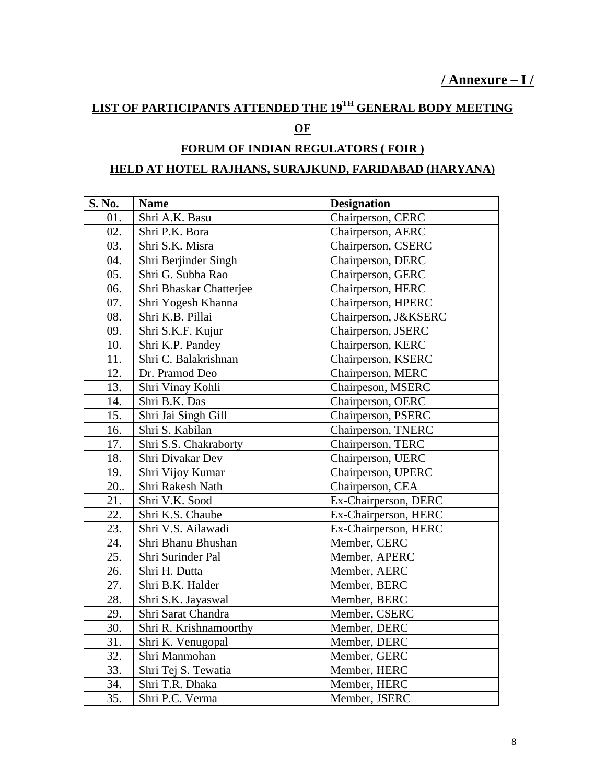# **LIST OF PARTICIPANTS ATTENDED THE 19TH GENERAL BODY MEETING**

## **OF**

## **FORUM OF INDIAN REGULATORS ( FOIR )**

### **HELD AT HOTEL RAJHANS, SURAJKUND, FARIDABAD (HARYANA)**

| S. No. | <b>Name</b>             | <b>Designation</b>   |
|--------|-------------------------|----------------------|
| 01.    | Shri A.K. Basu          | Chairperson, CERC    |
| 02.    | Shri P.K. Bora          | Chairperson, AERC    |
| 03.    | Shri S.K. Misra         | Chairperson, CSERC   |
| 04.    | Shri Berjinder Singh    | Chairperson, DERC    |
| 05.    | Shri G. Subba Rao       | Chairperson, GERC    |
| 06.    | Shri Bhaskar Chatterjee | Chairperson, HERC    |
| 07.    | Shri Yogesh Khanna      | Chairperson, HPERC   |
| 08.    | Shri K.B. Pillai        | Chairperson, J&KSERC |
| 09.    | Shri S.K.F. Kujur       | Chairperson, JSERC   |
| 10.    | Shri K.P. Pandey        | Chairperson, KERC    |
| 11.    | Shri C. Balakrishnan    | Chairperson, KSERC   |
| 12.    | Dr. Pramod Deo          | Chairperson, MERC    |
| 13.    | Shri Vinay Kohli        | Chairpeson, MSERC    |
| 14.    | Shri B.K. Das           | Chairperson, OERC    |
| 15.    | Shri Jai Singh Gill     | Chairperson, PSERC   |
| 16.    | Shri S. Kabilan         | Chairperson, TNERC   |
| 17.    | Shri S.S. Chakraborty   | Chairperson, TERC    |
| 18.    | Shri Divakar Dev        | Chairperson, UERC    |
| 19.    | Shri Vijoy Kumar        | Chairperson, UPERC   |
| 20.    | Shri Rakesh Nath        | Chairperson, CEA     |
| 21.    | Shri V.K. Sood          | Ex-Chairperson, DERC |
| 22.    | Shri K.S. Chaube        | Ex-Chairperson, HERC |
| 23.    | Shri V.S. Ailawadi      | Ex-Chairperson, HERC |
| 24.    | Shri Bhanu Bhushan      | Member, CERC         |
| 25.    | Shri Surinder Pal       | Member, APERC        |
| 26.    | Shri H. Dutta           | Member, AERC         |
| 27.    | Shri B.K. Halder        | Member, BERC         |
| 28.    | Shri S.K. Jayaswal      | Member, BERC         |
| 29.    | Shri Sarat Chandra      | Member, CSERC        |
| 30.    | Shri R. Krishnamoorthy  | Member, DERC         |
| 31.    | Shri K. Venugopal       | Member, DERC         |
| 32.    | Shri Manmohan           | Member, GERC         |
| 33.    | Shri Tej S. Tewatia     | Member, HERC         |
| 34.    | Shri T.R. Dhaka         | Member, HERC         |
| 35.    | Shri P.C. Verma         | Member, JSERC        |